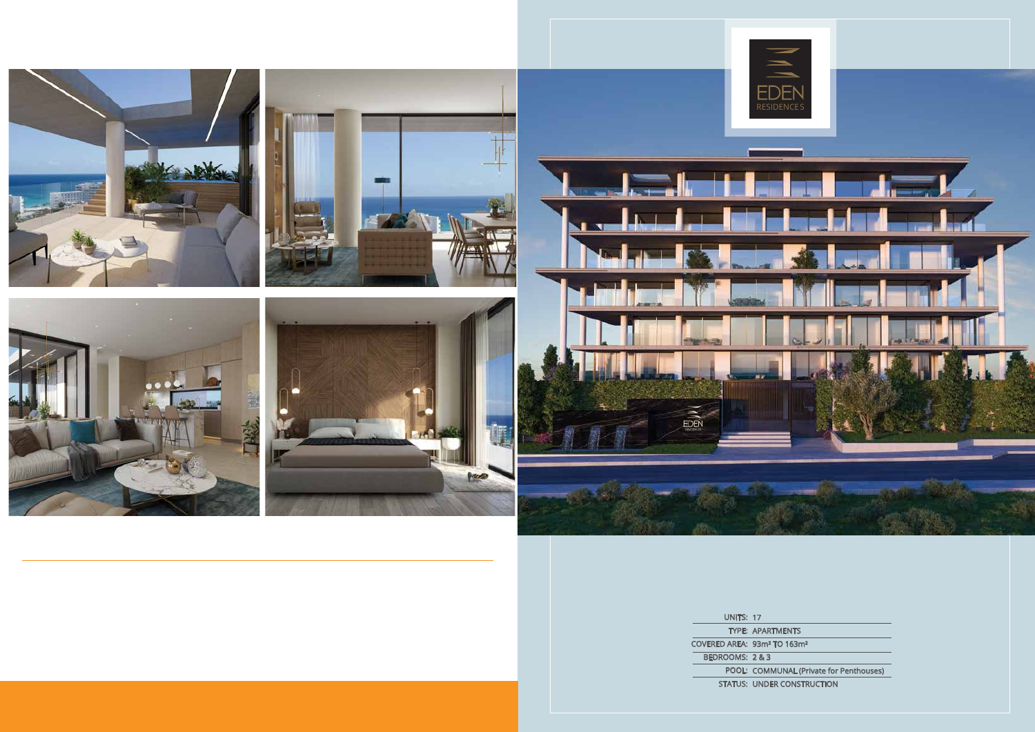UNITS: 17 TYPE: APARTMENTS COVERED AREA: 93m² TO 163m² BEDROOMS: 2 & 3 POOL: COMMUNAL (Private for Penthouses) STATUS: UNDER CONSTRUCTION